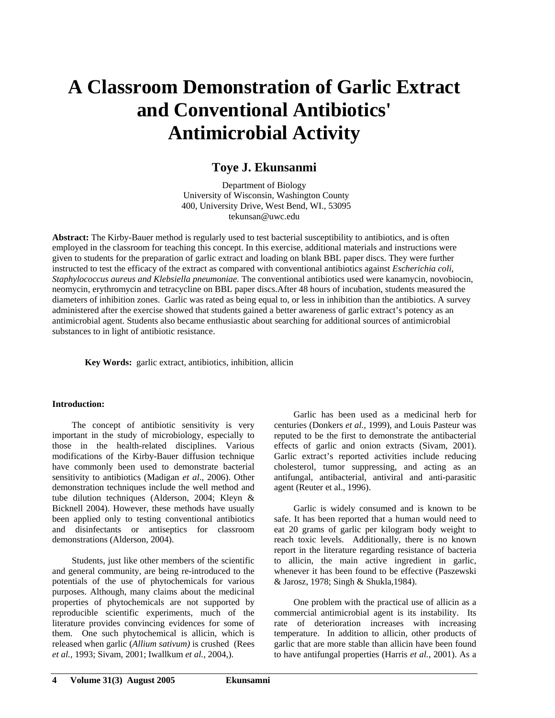# **A Classroom Demonstration of Garlic Extract and Conventional Antibiotics' Antimicrobial Activity**

### **Toye J. Ekunsanmi**

Department of Biology University of Wisconsin, Washington County 400, University Drive, West Bend, WI., 53095 tekunsan@uwc.edu

**Abstract:** The Kirby-Bauer method is regularly used to test bacterial susceptibility to antibiotics, and is often employed in the classroom for teaching this concept. In this exercise, additional materials and instructions were given to students for the preparation of garlic extract and loading on blank BBL paper discs. They were further instructed to test the efficacy of the extract as compared with conventional antibiotics against *Escherichia coli*, *Staphylococcus aureus and Klebsiella pneumoniae.* The conventional antibiotics used were kanamycin, novobiocin, neomycin, erythromycin and tetracycline on BBL paper discs.After 48 hours of incubation, students measured the diameters of inhibition zones. Garlic was rated as being equal to, or less in inhibition than the antibiotics. A survey administered after the exercise showed that students gained a better awareness of garlic extract's potency as an antimicrobial agent. Students also became enthusiastic about searching for additional sources of antimicrobial substances to in light of antibiotic resistance.

**Key Words:** garlic extract, antibiotics, inhibition, allicin

#### **Introduction:**

The concept of antibiotic sensitivity is very important in the study of microbiology, especially to those in the health-related disciplines. Various modifications of the Kirby-Bauer diffusion technique have commonly been used to demonstrate bacterial sensitivity to antibiotics (Madigan *et al*., 2006). Other demonstration techniques include the well method and tube dilution techniques (Alderson, 2004; Kleyn & Bicknell 2004). However, these methods have usually been applied only to testing conventional antibiotics and disinfectants or antiseptics for classroom demonstrations (Alderson, 2004).

Students, just like other members of the scientific and general community, are being re-introduced to the potentials of the use of phytochemicals for various purposes. Although, many claims about the medicinal properties of phytochemicals are not supported by reproducible scientific experiments, much of the literature provides convincing evidences for some of them. One such phytochemical is allicin, which is released when garlic (*Allium sativum)* is crushed (Rees *et al.,* 1993; Sivam, 2001; Iwallkum *et al.,* 2004,).

Garlic has been used as a medicinal herb for centuries (Donkers *et al.,* 1999), and Louis Pasteur was reputed to be the first to demonstrate the antibacterial effects of garlic and onion extracts (Sivam, 2001). Garlic extract's reported activities include reducing cholesterol, tumor suppressing, and acting as an antifungal, antibacterial, antiviral and anti-parasitic agent (Reuter et al., 1996).

Garlic is widely consumed and is known to be safe. It has been reported that a human would need to eat 20 grams of garlic per kilogram body weight to reach toxic levels. Additionally, there is no known report in the literature regarding resistance of bacteria to allicin, the main active ingredient in garlic, whenever it has been found to be effective (Paszewski & Jarosz, 1978; Singh & Shukla,1984).

One problem with the practical use of allicin as a commercial antimicrobial agent is its instability. Its rate of deterioration increases with increasing temperature. In addition to allicin, other products of garlic that are more stable than allicin have been found to have antifungal properties (Harris *et al.*, 2001). As a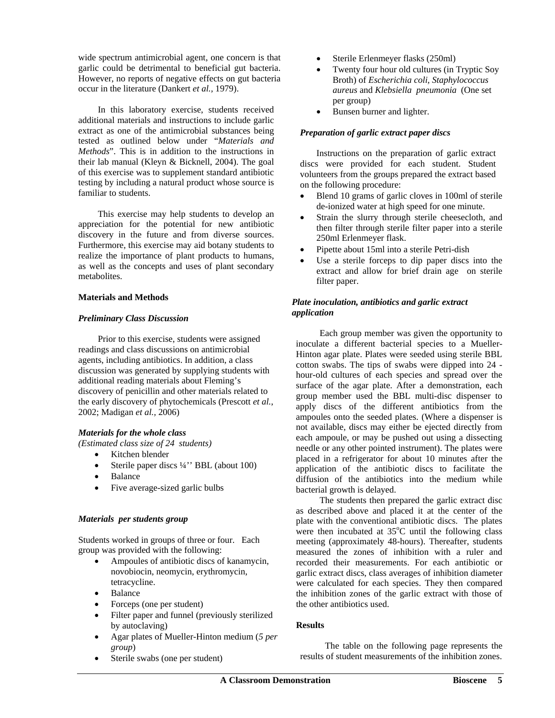wide spectrum antimicrobial agent, one concern is that garlic could be detrimental to beneficial gut bacteria. However, no reports of negative effects on gut bacteria occur in the literature (Dankert *et al.,* 1979).

In this laboratory exercise, students received additional materials and instructions to include garlic extract as one of the antimicrobial substances being tested as outlined below under "*Materials and Methods*". This is in addition to the instructions in their lab manual (Kleyn & Bicknell, 2004). The goal of this exercise was to supplement standard antibiotic testing by including a natural product whose source is familiar to students.

This exercise may help students to develop an appreciation for the potential for new antibiotic discovery in the future and from diverse sources. Furthermore, this exercise may aid botany students to realize the importance of plant products to humans, as well as the concepts and uses of plant secondary metabolites.

#### **Materials and Methods**

#### *Preliminary Class Discussion*

Prior to this exercise, students were assigned readings and class discussions on antimicrobial agents, including antibiotics. In addition, a class discussion was generated by supplying students with additional reading materials about Fleming's discovery of penicillin and other materials related to the early discovery of phytochemicals (Prescott *et al.*, 2002; Madigan *et al.,* 2006)

#### *Materials for the whole class*

*(Estimated class size of 24 students)*

- Kitchen blender
- Sterile paper discs ¼" BBL (about 100)
- Balance
- Five average-sized garlic bulbs

#### *Materials per students group*

Students worked in groups of three or four. Each group was provided with the following:

- Ampoules of antibiotic discs of kanamycin, novobiocin, neomycin, erythromycin, tetracycline.
- **Balance**
- Forceps (one per student)
- Filter paper and funnel (previously sterilized by autoclaving)
- Agar plates of Mueller-Hinton medium (*5 per group*)
- Sterile swabs (one per student)
- Sterile Erlenmeyer flasks (250ml)
- Twenty four hour old cultures (in Tryptic Soy Broth) of *Escherichia coli, Staphylococcus aureus* and *Klebsiella pneumonia* (One set per group)
- Bunsen burner and lighter.

#### *Preparation of garlic extract paper discs*

Instructions on the preparation of garlic extract discs were provided for each student. Student volunteers from the groups prepared the extract based on the following procedure:

- Blend 10 grams of garlic cloves in 100ml of sterile de-ionized water at high speed for one minute.
- Strain the slurry through sterile cheesecloth, and then filter through sterile filter paper into a sterile 250ml Erlenmeyer flask.
- Pipette about 15ml into a sterile Petri-dish
- Use a sterile forceps to dip paper discs into the extract and allow for brief drain age on sterile filter paper.

#### *Plate inoculation, antibiotics and garlic extract application*

 Each group member was given the opportunity to inoculate a different bacterial species to a Mueller-Hinton agar plate. Plates were seeded using sterile BBL cotton swabs. The tips of swabs were dipped into 24 hour-old cultures of each species and spread over the surface of the agar plate. After a demonstration, each group member used the BBL multi-disc dispenser to apply discs of the different antibiotics from the ampoules onto the seeded plates. (Where a dispenser is not available, discs may either be ejected directly from each ampoule, or may be pushed out using a dissecting needle or any other pointed instrument). The plates were placed in a refrigerator for about 10 minutes after the application of the antibiotic discs to facilitate the diffusion of the antibiotics into the medium while bacterial growth is delayed.

 The students then prepared the garlic extract disc as described above and placed it at the center of the plate with the conventional antibiotic discs. The plates were then incubated at  $35^{\circ}$ C until the following class meeting (approximately 48-hours). Thereafter, students measured the zones of inhibition with a ruler and recorded their measurements. For each antibiotic or garlic extract discs, class averages of inhibition diameter were calculated for each species. They then compared the inhibition zones of the garlic extract with those of the other antibiotics used.

#### **Results**

 The table on the following page represents the results of student measurements of the inhibition zones.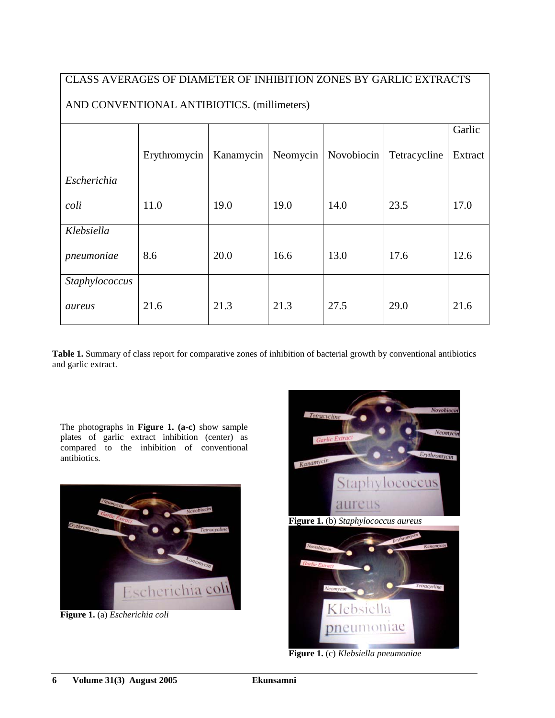# CLASS AVERAGES OF DIAMETER OF INHIBITION ZONES BY GARLIC EXTRACTS

|                |              |           |          |            |              | Garlic  |  |
|----------------|--------------|-----------|----------|------------|--------------|---------|--|
|                | Erythromycin | Kanamycin | Neomycin | Novobiocin | Tetracycline | Extract |  |
| Escherichia    |              |           |          |            |              |         |  |
| coli           | 11.0         | 19.0      | 19.0     | 14.0       | 23.5         | 17.0    |  |
| Klebsiella     |              |           |          |            |              |         |  |
| pneumoniae     | 8.6          | 20.0      | 16.6     | 13.0       | 17.6         | 12.6    |  |
| Staphylococcus |              |           |          |            |              |         |  |
| aureus         | 21.6         | 21.3      | 21.3     | 27.5       | 29.0         | 21.6    |  |

## AND CONVENTIONAL ANTIBIOTICS. (millimeters)

**Table 1.** Summary of class report for comparative zones of inhibition of bacterial growth by conventional antibiotics and garlic extract.

The photographs in **Figure 1. (a-c)** show sample plates of garlic extract inhibition (center) as compared to the inhibition of conventional antibiotics.



**Figure 1.** (a) *Escherichia coli*





**Figure 1.** (c) *Klebsiella pneumoniae*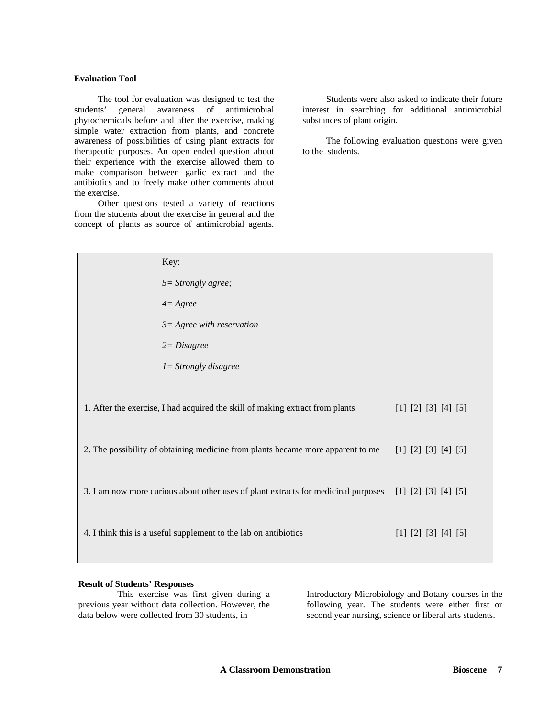#### **Evaluation Tool**

The tool for evaluation was designed to test the students' general awareness of antimicrobial phytochemicals before and after the exercise, making simple water extraction from plants, and concrete awareness of possibilities of using plant extracts for therapeutic purposes. An open ended question about their experience with the exercise allowed them to make comparison between garlic extract and the antibiotics and to freely make other comments about the exercise.

Other questions tested a variety of reactions from the students about the exercise in general and the concept of plants as source of antimicrobial agents.

 Students were also asked to indicate their future interest in searching for additional antimicrobial substances of plant origin.

The following evaluation questions were given to the students.

| Key:                                                                                                   |                     |
|--------------------------------------------------------------------------------------------------------|---------------------|
| $5 =$ Strongly agree;                                                                                  |                     |
| $4 = \text{Agree}$                                                                                     |                     |
| $3 = \text{Agree}$ with reservation                                                                    |                     |
| $2 = Disagree$                                                                                         |                     |
| $I =$ Strongly disagree                                                                                |                     |
| 1. After the exercise, I had acquired the skill of making extract from plants                          | [1] [2] [3] [4] [5] |
| 2. The possibility of obtaining medicine from plants became more apparent to me                        | [1] [2] [3] [4] [5] |
| 3. I am now more curious about other uses of plant extracts for medicinal purposes [1] [2] [3] [4] [5] |                     |
| 4. I think this is a useful supplement to the lab on antibiotics                                       | [1] [2] [3] [4] [5] |

#### **Result of Students' Responses**

 This exercise was first given during a previous year without data collection. However, the data below were collected from 30 students, in

Introductory Microbiology and Botany courses in the following year. The students were either first or second year nursing, science or liberal arts students.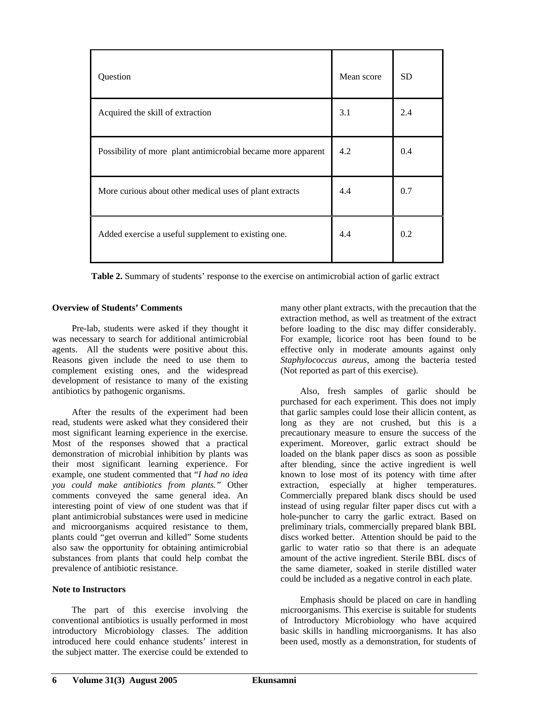| Question                                                     | Mean score | SD. |
|--------------------------------------------------------------|------------|-----|
| Acquired the skill of extraction                             | 3.1        | 2.4 |
| Possibility of more plant antimicrobial became more apparent | 4.2        | 0.4 |
| More curious about other medical uses of plant extracts      | 4.4        | 0.7 |
| Added exercise a useful supplement to existing one.          | 4.4        | 0.2 |

**Table 2.** Summary of students' response to the exercise on antimicrobial action of garlic extract

#### **verview of Students' Comments O**

Pre-lab, students were asked if they thought it was necessary to search for additional antimicrobial agents. All the students were positive about this. Reasons given include the need to use them to complement existing ones, and the widespread development of resistance to many of the existing antibiotics by pathogenic organisms.

After the results of the experiment had been read, students were asked what they considered their most significant learning experience in the exercise. Most of the responses showed that a practical demonstration of microbial inhibition by plants was their most significant learning experience. For example, one student commented that "*I had no idea you could make antibiotics from plants."* Other comments conveyed the same general idea. An interesting point of view of one student was that if plant antimicrobial substances were used in medicine and microorganisms acquired resistance to them, plants could "get overrun and killed" Some students also saw the opportunity for obtaining antimicrobial substances from plants that could help combat the prevalence of antibiotic resistance.

#### Note to Instructors

The part of this exercise involving the conv entional antibiotics is usually performed in most introductory Microbiology classes. The addition introduced here could enhance students' interest in the subject matter. The exercise could be extended to

many other plant extracts, with the precaution that the extraction method, as well as treatment of the extract before loading to the disc may differ considerably. For example, licorice root has been found to be effective only in moderate amounts against only *Staphylococcus aureus*, among the bacteria tested (Not reported as part of this exercise).

Also, fresh samples of garlic should be purchased for each experiment. This does not imply that g arlic samples could lose their allicin content, as long as they are not crushed, but this is a precautionary measure to ensure the success of the experiment. Moreover, garlic extract should be loaded on the blank paper discs as soon as possible after blending, since the active ingredient is well known to lose most of its potency with time after extraction, especially at higher temperatures. Commercially prepared blank discs should be used instead of using regular filter paper discs cut with a hole-puncher to carry the garlic extract. Based on preliminary trials, commercially prepared blank BBL discs worked better. Attention should be paid to the garlic to water ratio so that there is an adequate amount of the active ingredient. Sterile BBL discs of the same diameter, soaked in sterile distilled water could be included as a negative control in each plate.

microorganisms. This exercise is suitable for students of In troductory Microbiology who have acquired Emphasis should be placed on care in handling basic skills in handling microorganisms. It has also been used, mostly as a demonstration, for students of